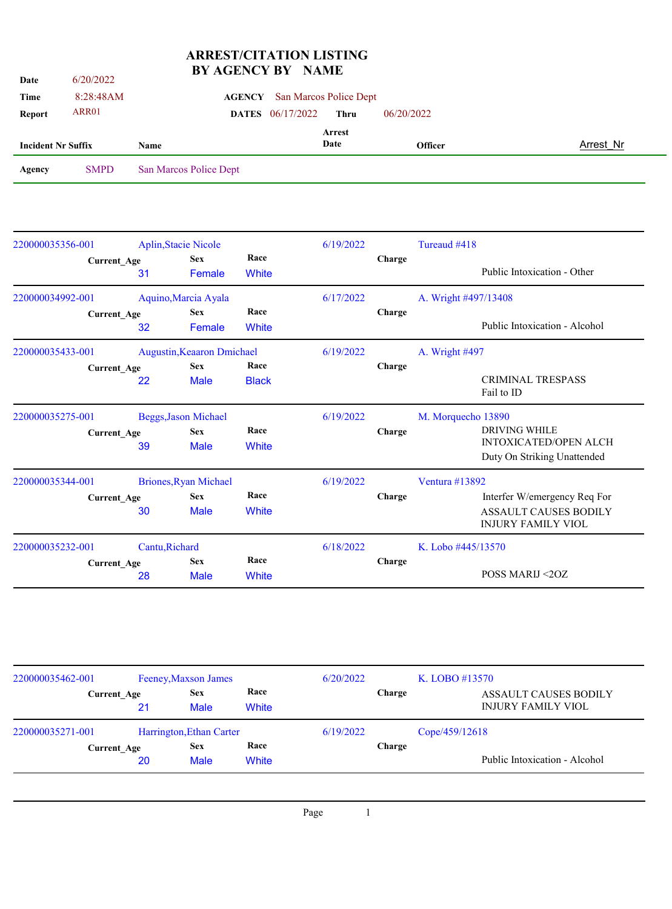## **ARREST/CITATION LISTING BY AGENCY BY NAME**

| Date                      | 6/20/2022          |      | DI AULIVUI DI               |               | <b>INAIVIL</b> |                        |            |                      |                               |           |
|---------------------------|--------------------|------|-----------------------------|---------------|----------------|------------------------|------------|----------------------|-------------------------------|-----------|
| Time                      | 8:28:48AM          |      |                             | <b>AGENCY</b> |                | San Marcos Police Dept |            |                      |                               |           |
| <b>Report</b>             | ARR01              |      |                             | <b>DATES</b>  | 06/17/2022     | <b>Thru</b>            | 06/20/2022 |                      |                               |           |
| <b>Incident Nr Suffix</b> |                    | Name |                             |               |                | <b>Arrest</b><br>Date  |            | <b>Officer</b>       |                               | Arrest Nr |
| Agency                    | <b>SMPD</b>        |      | San Marcos Police Dept      |               |                |                        |            |                      |                               |           |
|                           |                    |      |                             |               |                |                        |            |                      |                               |           |
|                           |                    |      |                             |               |                |                        |            |                      |                               |           |
| 220000035356-001          |                    |      | <b>Aplin, Stacie Nicole</b> |               |                | 6/19/2022              |            | Tureaud #418         |                               |           |
|                           | <b>Current_Age</b> |      | <b>Sex</b>                  | Race          |                |                        | Charge     |                      |                               |           |
|                           |                    | 31   | Female                      | White         |                |                        |            |                      | Public Intoxication - Other   |           |
| 220000034992-001          |                    |      | Aquino, Marcia Ayala        |               |                | 6/17/2022              |            | A. Wright #497/13408 |                               |           |
|                           | Current_Age        |      | <b>Sex</b>                  | Race          |                |                        | Charge     |                      |                               |           |
|                           |                    | 32   | Female                      | White         |                |                        |            |                      | Public Intoxication - Alcohol |           |
| 220000035433-001          |                    |      | Augustin, Keaaron Dmichael  |               |                | 6/19/2022              |            | A. Wright #497       |                               |           |
|                           | <b>Current Age</b> |      | <b>Sex</b>                  | Race          |                |                        | Charge     |                      |                               |           |
|                           |                    | 22   | Male                        | <b>Black</b>  |                |                        |            |                      | CRIMINAL TRESPASS             |           |

|                  | <b>Current Age</b> | 39             | <b>Sex</b><br><b>Male</b> | Race<br>White |           | Charge | DRIVING WHILE<br><b>INTOXICATED/OPEN ALCH</b><br>Duty On Striking Unattended |
|------------------|--------------------|----------------|---------------------------|---------------|-----------|--------|------------------------------------------------------------------------------|
| 220000035344-001 |                    |                | Briones, Ryan Michael     |               | 6/19/2022 |        | Ventura $\#13892$                                                            |
|                  | <b>Current Age</b> |                | <b>Sex</b>                | Race          |           | Charge | Interfer W/emergency Req For                                                 |
|                  |                    | 30             | <b>Male</b>               | White         |           |        | <b>ASSAULT CAUSES BODILY</b><br><b>INJURY FAMILY VIOL</b>                    |
| 220000035232-001 |                    | Cantu, Richard |                           |               | 6/18/2022 |        | K. Lobo #445/13570                                                           |
|                  | <b>Current Age</b> |                | <b>Sex</b>                | Race          |           | Charge |                                                                              |
|                  |                    | 28             | <b>Male</b>               | White         |           |        | POSS MARIJ <20Z                                                              |

220000035275-001 Beggs,Jason Michael 6/19/2022 M. Morquecho 13890

Fail to ID

| 220000035462-001   |    | Feeney, Maxson James      |               |           |               | K. LOBO #13570                                            |  |
|--------------------|----|---------------------------|---------------|-----------|---------------|-----------------------------------------------------------|--|
| <b>Current Age</b> | 21 | <b>Sex</b><br><b>Male</b> | Race<br>White |           | Charge        | <b>ASSAULT CAUSES BODILY</b><br><b>INJURY FAMILY VIOL</b> |  |
| 220000035271-001   |    | Harrington, Ethan Carter  |               | 6/19/2022 |               | Cope/459/12618                                            |  |
| <b>Current Age</b> | 20 | <b>Sex</b><br><b>Male</b> | Race<br>White |           | <b>Charge</b> | Public Intoxication - Alcohol                             |  |

Page 1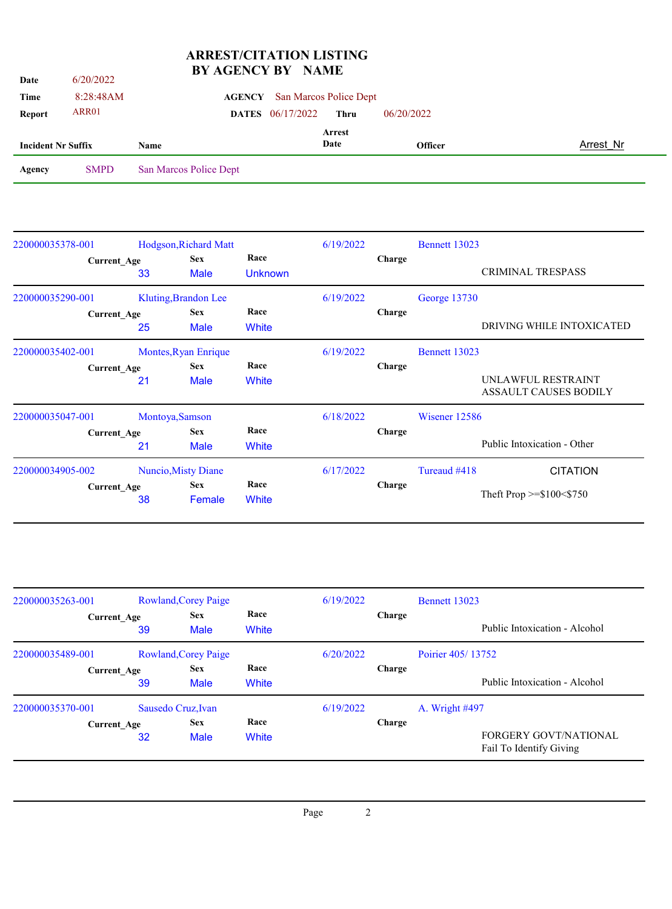## **ARREST/CITATION LISTING BY AGENCY BY NAME**

| <b>Date</b>               | 6/20/2022   | DI AULIVUI DI NAME      |      |                        |                |           |
|---------------------------|-------------|-------------------------|------|------------------------|----------------|-----------|
| Time                      | 8:28:48AM   | <b>AGENCY</b>           |      | San Marcos Police Dept |                |           |
| Report                    | ARR01       | <b>DATES</b> 06/17/2022 |      | <b>Thru</b>            | 06/20/2022     |           |
|                           |             |                         |      | Arrest                 |                |           |
| <b>Incident Nr Suffix</b> |             | Name                    | Date |                        | <b>Officer</b> | Arrest Nr |
| Agency                    | <b>SMPD</b> | San Marcos Police Dept  |      |                        |                |           |
|                           |             |                         |      |                        |                |           |
|                           |             |                         |      |                        |                |           |
|                           |             |                         |      |                        |                |           |

| 220000035378-001 |                    |    | Hodgson, Richard Matt     |                        | 6/19/2022 |               | Bennett 13023 |                                             |
|------------------|--------------------|----|---------------------------|------------------------|-----------|---------------|---------------|---------------------------------------------|
|                  | <b>Current_Age</b> | 33 | <b>Sex</b><br><b>Male</b> | Race<br><b>Unknown</b> |           | <b>Charge</b> |               | CRIMINAL TRESPASS                           |
| 220000035290-001 |                    |    | Kluting, Brandon Lee      |                        | 6/19/2022 |               | George 13730  |                                             |
|                  | <b>Current_Age</b> | 25 | <b>Sex</b><br><b>Male</b> | Race<br>White          |           | Charge        |               | DRIVING WHILE INTOXICATED                   |
| 220000035402-001 |                    |    | Montes, Ryan Enrique      |                        | 6/19/2022 |               | Bennett 13023 |                                             |
|                  | <b>Current_Age</b> |    | <b>Sex</b>                | Race                   |           | Charge        |               |                                             |
|                  |                    | 21 | <b>Male</b>               | White                  |           |               |               | UNLAWFUL RESTRAINT<br>ASSAULT CAUSES BODILY |
| 220000035047-001 |                    |    | Montoya, Samson           |                        | 6/18/2022 |               | Wisener 12586 |                                             |
|                  | <b>Current Age</b> |    | <b>Sex</b>                | Race                   |           | <b>Charge</b> |               |                                             |
|                  |                    | 21 | <b>Male</b>               | White                  |           |               |               | Public Intoxication - Other                 |
| 220000034905-002 |                    |    | Nuncio, Misty Diane       |                        | 6/17/2022 |               | Tureaud #418  | <b>CITATION</b>                             |
|                  | Current Age        | 38 | <b>Sex</b><br>Female      | Race<br>White          |           | <b>Charge</b> |               | Theft Prop $>=\$100<\$750$                  |

| 220000035263-001 |                    | Rowland, Corey Paige      |              |           |        | <b>Bennett 13023</b>                                    |  |  |
|------------------|--------------------|---------------------------|--------------|-----------|--------|---------------------------------------------------------|--|--|
|                  | <b>Current Age</b> | <b>Sex</b><br><b>Male</b> | Race         |           | Charge |                                                         |  |  |
|                  | 39                 |                           | White        |           |        | Public Intoxication - Alcohol                           |  |  |
| 220000035489-001 |                    | Rowland, Corey Paige      |              | 6/20/2022 |        | Poirier 405/13752                                       |  |  |
|                  | <b>Current Age</b> | <b>Sex</b>                | Race         |           | Charge |                                                         |  |  |
|                  | 39                 | <b>Male</b>               | <b>White</b> |           |        | Public Intoxication - Alcohol                           |  |  |
| 220000035370-001 |                    | Sausedo Cruz, Ivan        |              | 6/19/2022 |        | A. Wright #497                                          |  |  |
|                  | <b>Current Age</b> | <b>Sex</b>                | Race         |           | Charge |                                                         |  |  |
|                  | 32                 | <b>Male</b>               | White        |           |        | <b>FORGERY GOVT/NATIONAL</b><br>Fail To Identify Giving |  |  |